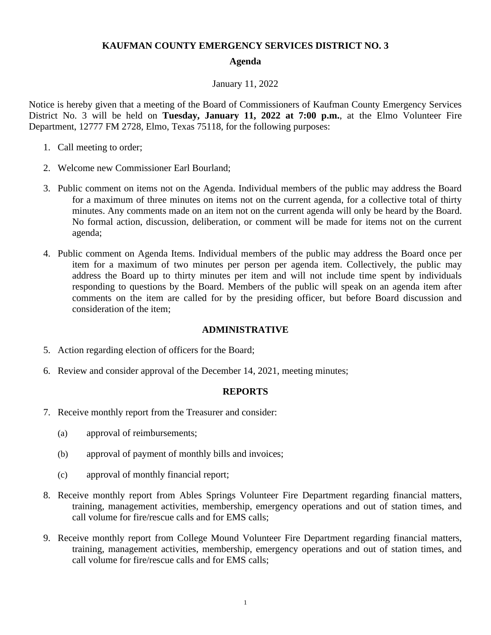# **KAUFMAN COUNTY EMERGENCY SERVICES DISTRICT NO. 3**

### **Agenda**

### January 11, 2022

Notice is hereby given that a meeting of the Board of Commissioners of Kaufman County Emergency Services District No. 3 will be held on **Tuesday, January 11, 2022 at 7:00 p.m.**, at the Elmo Volunteer Fire Department, 12777 FM 2728, Elmo, Texas 75118, for the following purposes:

- 1. Call meeting to order;
- 2. Welcome new Commissioner Earl Bourland;
- 3. Public comment on items not on the Agenda. Individual members of the public may address the Board for a maximum of three minutes on items not on the current agenda, for a collective total of thirty minutes. Any comments made on an item not on the current agenda will only be heard by the Board. No formal action, discussion, deliberation, or comment will be made for items not on the current agenda;
- 4. Public comment on Agenda Items. Individual members of the public may address the Board once per item for a maximum of two minutes per person per agenda item. Collectively, the public may address the Board up to thirty minutes per item and will not include time spent by individuals responding to questions by the Board. Members of the public will speak on an agenda item after comments on the item are called for by the presiding officer, but before Board discussion and consideration of the item;

#### **ADMINISTRATIVE**

- 5. Action regarding election of officers for the Board;
- 6. Review and consider approval of the December 14, 2021, meeting minutes;

#### **REPORTS**

- 7. Receive monthly report from the Treasurer and consider:
	- (a) approval of reimbursements;
	- (b) approval of payment of monthly bills and invoices;
	- (c) approval of monthly financial report;
- 8. Receive monthly report from Ables Springs Volunteer Fire Department regarding financial matters, training, management activities, membership, emergency operations and out of station times, and call volume for fire/rescue calls and for EMS calls;
- 9. Receive monthly report from College Mound Volunteer Fire Department regarding financial matters, training, management activities, membership, emergency operations and out of station times, and call volume for fire/rescue calls and for EMS calls;